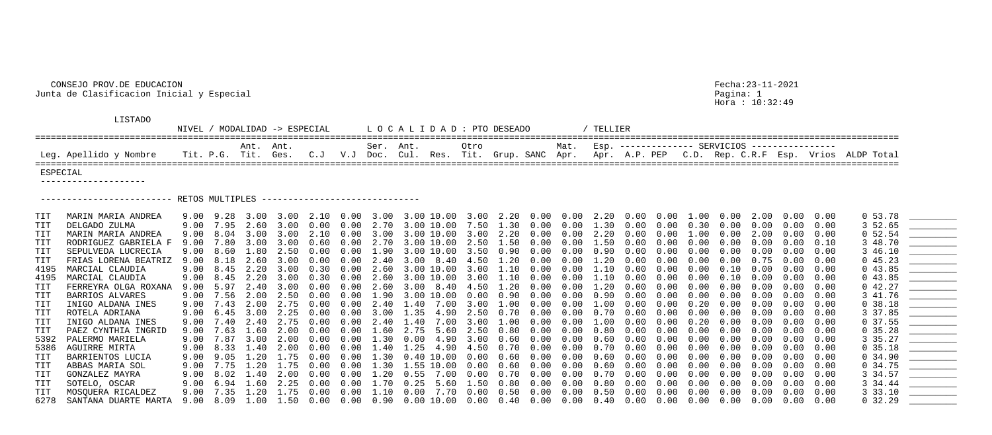## CONSEJO PROV.DE EDUCACION Fecha:23-11-2021 Junta de Clasificacion Inicial y Especial Pagina: 1

Hora : 10:32:49

| DESEADO<br>and the control of the control of the control of the control of the control of the control of the control of t<br>The control of the control of the control of the control of the control of the control of the control of the c |  |                                                   |  |  |
|---------------------------------------------------------------------------------------------------------------------------------------------------------------------------------------------------------------------------------------------|--|---------------------------------------------------|--|--|
| Grup. SANC Apr. Apr. A.P. PEP C.D. Rep. C.R.F Esp. Vrios ALDP Total                                                                                                                                                                         |  | Mat. Esp. ------------- SERVICIOS --------------- |  |  |

## LISTADO

NIVEL / MODALIDAD -> ESPECIAL LOCALIDAD: PTO ==================================================================================================================================================================== Ant. Ant. Ser. Ant. Otro Mat. Esp. -------------- SERVICIOS ---------------- Leg. Apellido y Nombre Tit. P.G. Tit. Ges. C.J V.J Doc. Cul. Res. Tit. ==================================================================================================================================================================== ESPECIAL --------------------

------------------------- RETOS MULTIPLES ------------------------------

| <b>TIT</b> | MARIN MARIA ANDREA   | 9.00 9.28 |      | 3.00        |      |            |                   |                | $3.00$ $2.10$ $0.00$ $3.00$ $3.00$ $10.00$ $3.00$ $2.20$ $0.00$ $0.00$ $2.20$ |             |                  |            |                   |      | $0.00\quad 0.00$ |      |            |            |      | $1.00$ 0.00 2.00 0.00 0.00 |      | 0, 53.78 |                                                                                                                         |
|------------|----------------------|-----------|------|-------------|------|------------|-------------------|----------------|-------------------------------------------------------------------------------|-------------|------------------|------------|-------------------|------|------------------|------|------------|------------|------|----------------------------|------|----------|-------------------------------------------------------------------------------------------------------------------------|
| TIT        | DELGADO ZULMA        | 9.00      | 7.95 | 2.60        | 3.00 | $0\,.\,00$ |                   |                | $0.00 \quad 2.70 \quad 3.00 \quad 10.00 \quad 7.50$                           |             | 1.30             | $0\,.\,00$ | 0.00              | 1.30 | $0\,.\,00$       | 0.00 | 0.30       | $0\,.\,00$ | 0.00 | $0\,.\,00$                 | 0.00 | 3 52.65  |                                                                                                                         |
| TIT        | MARIN MARIA ANDREA   | 9.00      | 8.04 | 3.00        | 3.00 | 2.10       | 0.00              | 3.00           | 3.00 10.00                                                                    | 3.00        | 2.20             | 0.00       | 0.00              | 2.20 | 0.00             | 0.00 | 1.00       | 0.00       | 2.00 |                            | 0.00 | 0, 52.54 |                                                                                                                         |
| TIT        | RODRIGUEZ GABRIELA E | 9.00      | 7.80 | 3.00        | 3.00 | 0.60       |                   |                | $0.00 \quad 2.70 \quad 3.00 \quad 10.00 \quad 2.50$                           |             | 1.50             | 0.00       | $0.00 \quad 1.50$ |      | $0\,.\,00$       | 0.00 | 0.00       | 0.00       | 0.00 | 0.00                       | 0.10 | 3 48.70  | <u> The Common School (1989)</u>                                                                                        |
| TIT        | SEPULVEDA LUCRECIA   | 9.00      | 8.60 | 1.80        | 2.50 | $0\,.\,00$ |                   |                | $0.00 \quad 1.90 \quad 3.00 \quad 10.00 \quad 3.50$                           |             | 0.90             | 0.00       | 0.00              | 0.90 | 0.00             | 0.00 | $0\,.\,00$ | 0.00       | 0.00 | $0\,.\,00$                 | 0.00 | 3 46.10  |                                                                                                                         |
| TIT        | FRIAS LORENA BEATRIZ | 9.00      | 8.18 | 2.60        | 3.00 | 0.00       | $0\,.\,00$        | 2.40           | $3.00$ $8.40$ $4.50$                                                          |             | 1.20             | 0.00       | 0.00              | 1.20 | 0.00             | 0.00 | 0.00       | 0.00       | 0.75 |                            | 0.00 | 045.23   |                                                                                                                         |
| 4195       | MARCIAL CLAUDIA      | 9.00      | 8.45 | 2.20        | 3.00 | 0.30       | 0.00              |                | 2.60 3.00 10.00 3.00                                                          |             | $1\ldotp10$      | 0.00       | 0.00              | 1.10 | 0.00             | 0.00 | 0.00       | 0.10       | 0.00 | 0.00                       | 0.00 | 043.85   |                                                                                                                         |
| 4195       | MARCIAL CLAUDIA      | 9.00      | 8.45 | 2.20        | 3.00 | 0.30       |                   |                | $0.00$ $2.60$ $3.00$ $10.00$ $3.00$                                           |             | 1.10             | 0.00       | 0.00 1.10         |      | 0.00             | 0.00 | 0.00       | 0.10       | 0.00 | 0.00                       | 0.00 | 043.85   |                                                                                                                         |
| TIT        | FERREYRA OLGA ROXANA | 9.00      | 5.97 | 2.40        | 3.00 | 0.00       | $0\,.\,00$        |                | 2.60 3.00 8.40 4.50                                                           |             | $1\ldotp 20$     | 0.00       | $0.00 \quad 1.20$ |      | $0\,.\,00$       | 0.00 | $0\,.\,00$ | $0\,.\,00$ | 0.00 | 0.00                       | 0.00 | 042.27   |                                                                                                                         |
| TIT        | BARRIOS ALVARES      | 9.00      | 7.56 | 2.00        | 2.50 | 0.00       | 0.00              |                | $1.90$ $3.00$ $10.00$                                                         | 0.00        | 0.90             | 0.00       | 0.00              | 0.90 | 0.00             | 0.00 | 0.00       | 0.00       | 0.00 |                            | 0.00 | 3 41.76  | <u> The Communication of the Communication of the Communication of the Communication of the Communication of the Co</u> |
| TIT        | INIGO ALDANA INES    | 9.00      | 7.43 | 2.00        | 2.75 | 0.00       |                   |                | $0.00 \quad 2.40 \quad 1.40 \quad 7.00 \quad 3.00$                            |             | $1\,.\,00$       | 0.00       | 0.00              | 1.00 | $0\,.\,00$       | 0.00 | $0\,.20$   | $0\,.\,00$ | 0.00 | 0.00                       | 0.00 | 0.38.18  |                                                                                                                         |
| TIT        | ROTELA ADRIANA       | 9.00      | 6.45 | 3.00        | 2.25 | 0.00       |                   |                | $0.00$ 3.00 1.35 4.90 2.50                                                    |             | $0\,.70$         | 0.00       | 0.00              | 0.70 | 0.00             | 0.00 | 0.00       | 0.00       | 0.00 | 0.00                       | 0.00 | 3 37.85  |                                                                                                                         |
| TIT        | INIGO ALDANA INES    | 9.00      | 7.40 | 2.40        | 2.75 | 0.00       | 0.00              | 2.40           | 7.00<br>1.40                                                                  | 3.00        | $1\,.\,00$       | 0.00       | 0.00              | 1.00 | 0.00             | 0.00 | 0.20       | 0.00       | 0.00 | 0.00                       | 0.00 | 0, 37.55 |                                                                                                                         |
| TIT        | PAEZ CYNTHIA INGRID  | 9.00      | 7.63 | 1.60        | 2.00 | 0.00       | $0.00 \quad 1.60$ |                | 2.75 5.60 2.50                                                                |             | $0\,.80$         | $0\,.\,00$ | 0.00              | 0.80 | $0\,.\,00$       | 0.00 | $0\,.\,00$ | $0\,.\,00$ | 0.00 | 0.00                       | 0.00 | 0, 35.28 |                                                                                                                         |
| 5392       | PALERMO MARIELA      | 9.00      | 7.87 | 3.00        | 2.00 | 0.00       |                   |                | $0.00$ 1.30 0.00 4.90 3.00                                                    |             | 0.60             | 0.00       | 0.00              | 0.60 | 0.00             | 0.00 | 0.00       | 0.00       | 0.00 | 0.00                       | 0.00 | 3 35.27  |                                                                                                                         |
| 5386       | AGUIRRE MIRTA        | 9.00      | 8.33 | 1.40        | 2.00 | 0.00       | $0\,.\,00$        | $1\,\ldotp 40$ | 1.25 4.90 4.50                                                                |             | 0.70             | 0.00       | 0.00              | 0.70 | 0.00             | 0.00 | 0.00       | 0.00       | 0.00 | 0.00                       | 0.00 | 0, 35.18 |                                                                                                                         |
| TIT        | BARRIENTOS LUCIA     | 9.00      | 9.05 | 1.20        | 1.75 | 0.00       | $0.00$ $1.30$     |                | $0.40$ $10.00$ $0.00$                                                         |             | 0.60             | 0.00       | 0.00              | 0.60 | 0.00             | 0.00 | 0.00       | 0.00       | 0.00 | 0.00                       | 0.00 | 0, 34.90 |                                                                                                                         |
| TIT        | ABBAS MARIA SOL      | 9.00      | 7.75 | $1\ldotp20$ | 1.75 | $0\,.\,00$ |                   |                | $0.00 \quad 1.30 \quad 1.55 \quad 10.00 \quad 0.00$                           |             | 0.60             | 0.00       | 0.00              | 0.60 | 0.00             | 0.00 | $0\,.\,00$ | 0.00       | 0.00 | $0\,.\,00$                 | 0.00 | 0, 34.75 |                                                                                                                         |
| TIT        | GONZALEZ MAYRA       | 9.00      | 8.02 | 1.40        | 2.00 | $0\,.\,00$ | $0\,.\,00$        | 1.20           | $0.55$ $7.00$                                                                 | 0.00        | 0.70             | 0.00       | 0.00              | 0.70 | 0.00             | 0.00 | 0.00       | 0.00       | 0.00 | $0\,.\,00$                 | 0.00 | 3 34.57  |                                                                                                                         |
| TIT        | SOTELO, OSCAR        | 9.00      | 6.94 | 1.60        | 2.25 | 0.00       | 0.00              | .70            | 0.25<br>5.60                                                                  | $\perp$ .50 | 0.80             | 0.00       | 0.00              | 0.80 | 0.00             | 0.00 | 0.00       | 0.00       | 0.00 | 0.00                       | 0.00 | 3 34.44  |                                                                                                                         |
| TIT        | MOSQUERA RICALDEZ    | 9.00      | 7.35 | 1.20        | 1.75 | 0.00       | 0.00              | 1.10           | 7.70<br>$0\,.\,00$                                                            | 0.00        | 0.50             | 0.00       | 0.00              | 0.50 | 0.00             | 0.00 | 0.00       | 0.00       | 0.00 | 0.00                       | 0.00 | 3 33.10  |                                                                                                                         |
| 6278       | SANTANA DUARTE MARTA | 9.00      | 8.09 | 1.00        | 1.50 | $0\,.\,00$ |                   |                | $0.00 \quad 0.90 \quad 0.00 \quad 10.00 \quad 0.00$                           |             | $0.40\quad 0.00$ |            | $0.00 \quad 0.40$ |      | 0.00             | 0.00 | $0\,.\,00$ | $0\,.\,00$ | 0.00 | $0\,.\,00$                 | 0.00 | 0, 32.29 |                                                                                                                         |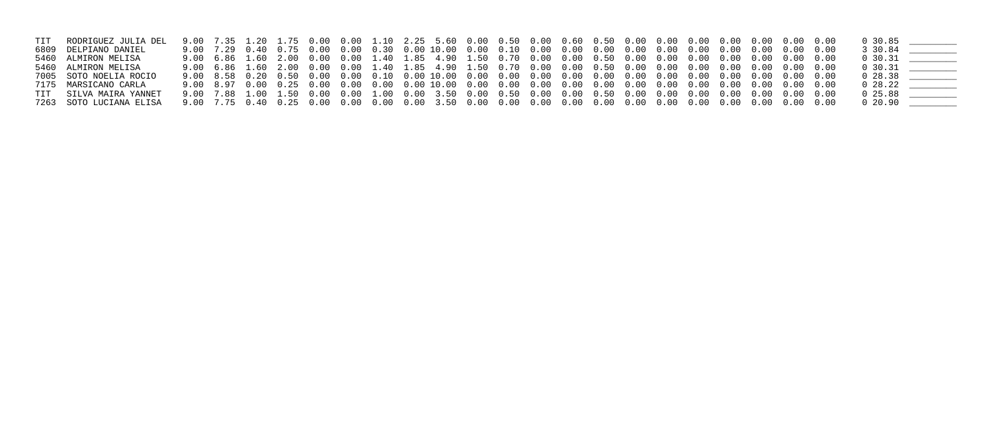| TIT RODRIGUEZ JULIA DEL |  |  |  |  |  |  |  |  |  |  | $0\,30.85$    |  |
|-------------------------|--|--|--|--|--|--|--|--|--|--|---------------|--|
| 6809 DELPIANO DANIEL    |  |  |  |  |  |  |  |  |  |  | 3 30.84       |  |
| 5460 ALMIRON MELISA     |  |  |  |  |  |  |  |  |  |  | $0\,30.31$    |  |
| 5460 ALMIRON MELISA     |  |  |  |  |  |  |  |  |  |  | $0\,30.31$    |  |
| 7005 SOTO NOELIA ROCIO  |  |  |  |  |  |  |  |  |  |  | $0\;\; 28.38$ |  |
| 7175 MARSICANO CARLA    |  |  |  |  |  |  |  |  |  |  | $0\;28.22$    |  |
| TIT SILVA MAIRA YANNET  |  |  |  |  |  |  |  |  |  |  | $0\,25.88$    |  |
| 7263 SOTO LUCIANA ELISA |  |  |  |  |  |  |  |  |  |  | $0\;\;20.90$  |  |